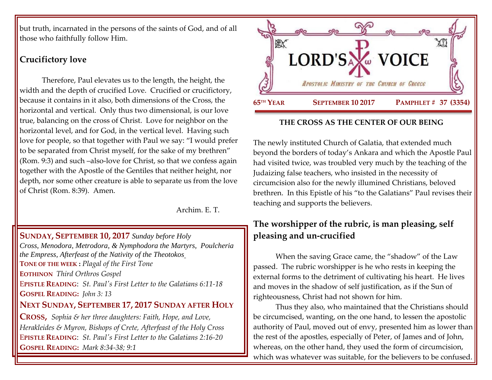but truth, incarnated in the persons of the saints of God, and of all those who faithfully follow Him.

## **Crucifictory love**

Therefore, Paul elevates us to the length, the height, the width and the depth of crucified Love. Crucified or crucifictory, because it contains in it also, both dimensions of the Cross, the horizontal and vertical. Only thus two dimensional, is our love true, balancing on the cross of Christ. Love for neighbor on the horizontal level, and for God, in the vertical level. Having such love for people, so that together with Paul we say: "I would prefer to be separated from Christ myself, for the sake of my brethren" (Rom. 9:3) and such –also-love for Christ, so that we confess again together with the Apostle of the Gentiles that neither height, nor depth, nor some other creature is able to separate us from the love of Christ (Rom. 8:39). Amen.

Archim. E. T.

### **SUNDAY, SEPTEMBER 10, 2017** *Sunday before Holy*

*Cross, [Menodora, Metrodora, & Nymphodora the Martyrs, P](https://www.goarch.org/chapel/saints?contentid=199)oulcheria the Empress, [Afterfeast of the Nativity of the Theotokos](https://www.goarch.org/chapel/saints?contentid=2426)* **TONE OF THE WEEK :** *Plagal of the First Tone* **EOTHINON** *Third Orthros Gospel* E**PISTLE READING**: *[St. Paul's First Letter to the Galatians 6:11-18](https://www.goarch.org/chapel/lectionary?type=epistle&code=27&event=940&date=5/28/2017)*  **GOSPEL R[EADING](https://www.goarch.org/chapel/lectionary?type=gospel&code=43&event=940&date=5/28/2017):** *John 3: 13* **NEXT SUNDAY, SEPTEMBER 17, 2017 S[UNDAY AFTER](https://www.goarch.org/chapel/saints?contentid=1162&PCode=SAHC&D=S&date=9/17/2017) HOLY C[ROSS](https://www.goarch.org/chapel/saints?contentid=1162&PCode=SAHC&D=S&date=9/17/2017),** *[Sophia & her three daughters: Faith, Hope, and Love,](https://www.goarch.org/chapel/saints?contentid=208)  Herakleides & Myron, Bishops of Crete, [Afterfeast of the Holy Cross](https://www.goarch.org/chapel/saints?contentid=2430)* 

E**PISTLE READING**: *[St. Paul's First Letter to the Galatians 2:16-20](https://www.goarch.org/chapel/lectionary?type=epistle&code=27&event=940&date=5/28/2017)* **GOSPEL R[EADING](https://www.goarch.org/chapel/lectionary?type=gospel&code=43&event=940&date=5/28/2017):** *Mark 8:34-38; 9:1*



### **THE CROSS AS THE CENTER OF OUR BEING**

The newly instituted Church of Galatia, that extended much beyond the borders of today's Ankara and which the Apostle Paul had visited twice, was troubled very much by the teaching of the Judaizing false teachers, who insisted in the necessity of circumcision also for the newly illumined Christians, beloved brethren. In this Epistle of his "to the Galatians" Paul revises their teaching and supports the believers.

# **The worshipper of the rubric, is man pleasing, self pleasing and un-crucified**

When the saving Grace came, the "shadow" of the Law passed. The rubric worshipper is he who rests in keeping the external forms to the detriment of cultivating his heart. He lives and moves in the shadow of self justification, as if the Sun of righteousness, Christ had not shown for him.

Thus they also, who maintained that the Christians should be circumcised, wanting, on the one hand, to lessen the apostolic authority of Paul, moved out of envy, presented him as lower than the rest of the apostles, especially of Peter, of James and of John, whereas, on the other hand, they used the form of circumcision, which was whatever was suitable, for the believers to be confused.